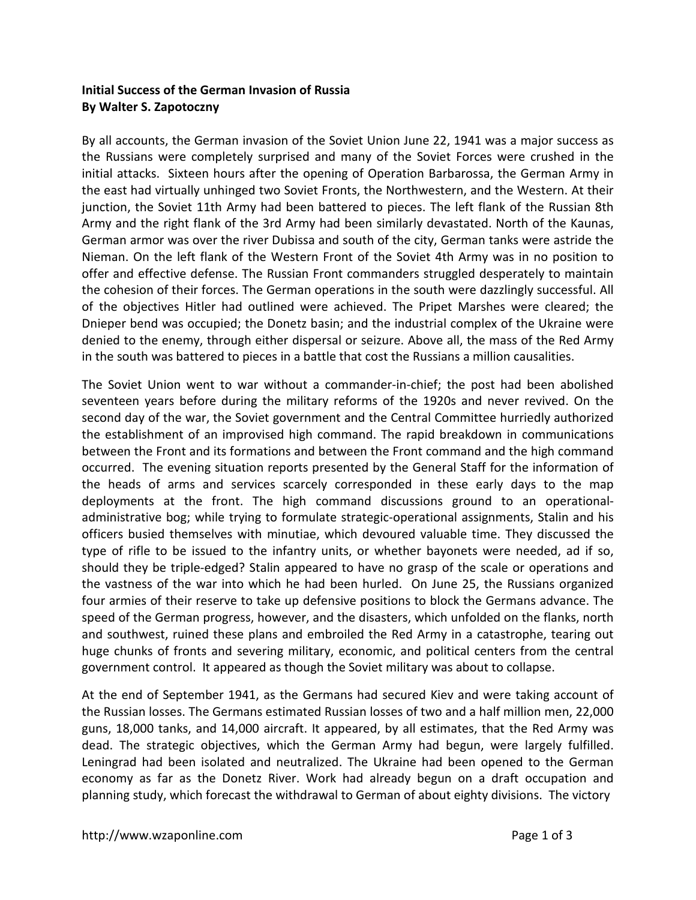## **Initial Success of the German Invasion of Russia By Walter S. Zapotoczny**

By all accounts, the German invasion of the Soviet Union June 22, 1941 was a major success as the Russians were completely surprised and many of the Soviet Forces were crushed in the initial attacks. Sixteen hours after the opening of Operation Barbarossa, the German Army in the east had virtually unhinged two Soviet Fronts, the Northwestern, and the Western. At their junction, the Soviet 11th Army had been battered to pieces. The left flank of the Russian 8th Army and the right flank of the 3rd Army had been similarly devastated. North of the Kaunas, German armor was over the river Dubissa and south of the city, German tanks were astride the Nieman. On the left flank of the Western Front of the Soviet 4th Army was in no position to offer and effective defense. The Russian Front commanders struggled desperately to maintain the cohesion of their forces. The German operations in the south were dazzlingly successful. All of the objectives Hitler had outlined were achieved. The Pripet Marshes were cleared; the Dnieper bend was occupied; the Donetz basin; and the industrial complex of the Ukraine were denied to the enemy, through either dispersal or seizure. Above all, the mass of the Red Army in the south was battered to pieces in a battle that cost the Russians a million causalities.

The Soviet Union went to war without a commander-in-chief; the post had been abolished seventeen years before during the military reforms of the 1920s and never revived. On the second day of the war, the Soviet government and the Central Committee hurriedly authorized the establishment of an improvised high command. The rapid breakdown in communications between the Front and its formations and between the Front command and the high command occurred. The evening situation reports presented by the General Staff for the information of the heads of arms and services scarcely corresponded in these early days to the map deployments at the front. The high command discussions ground to an operationaladministrative bog; while trying to formulate strategic-operational assignments, Stalin and his officers busied themselves with minutiae, which devoured valuable time. They discussed the type of rifle to be issued to the infantry units, or whether bayonets were needed, ad if so, should they be triple-edged? Stalin appeared to have no grasp of the scale or operations and the vastness of the war into which he had been hurled. On June 25, the Russians organized four armies of their reserve to take up defensive positions to block the Germans advance. The speed of the German progress, however, and the disasters, which unfolded on the flanks, north and southwest, ruined these plans and embroiled the Red Army in a catastrophe, tearing out huge chunks of fronts and severing military, economic, and political centers from the central government control. It appeared as though the Soviet military was about to collapse.

At the end of September 1941, as the Germans had secured Kiev and were taking account of the Russian losses. The Germans estimated Russian losses of two and a half million men, 22,000 guns, 18,000 tanks, and 14,000 aircraft. It appeared, by all estimates, that the Red Army was dead. The strategic objectives, which the German Army had begun, were largely fulfilled. Leningrad had been isolated and neutralized. The Ukraine had been opened to the German economy as far as the Donetz River. Work had already begun on a draft occupation and planning study, which forecast the withdrawal to German of about eighty divisions. The victory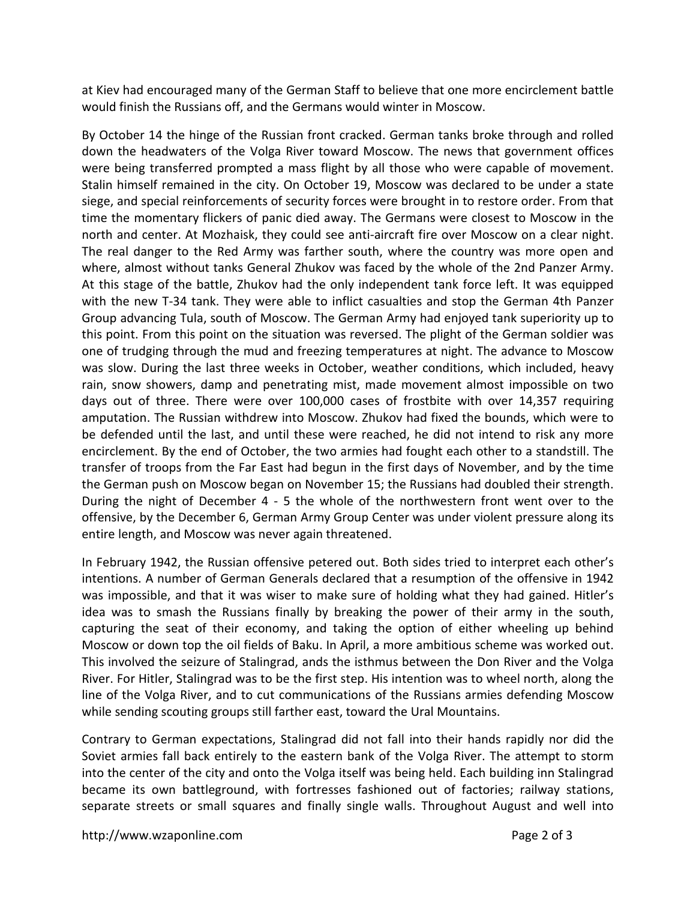at Kiev had encouraged many of the German Staff to believe that one more encirclement battle would finish the Russians off, and the Germans would winter in Moscow.

By October 14 the hinge of the Russian front cracked. German tanks broke through and rolled down the headwaters of the Volga River toward Moscow. The news that government offices were being transferred prompted a mass flight by all those who were capable of movement. Stalin himself remained in the city. On October 19, Moscow was declared to be under a state siege, and special reinforcements of security forces were brought in to restore order. From that time the momentary flickers of panic died away. The Germans were closest to Moscow in the north and center. At Mozhaisk, they could see anti-aircraft fire over Moscow on a clear night. The real danger to the Red Army was farther south, where the country was more open and where, almost without tanks General Zhukov was faced by the whole of the 2nd Panzer Army. At this stage of the battle, Zhukov had the only independent tank force left. It was equipped with the new T-34 tank. They were able to inflict casualties and stop the German 4th Panzer Group advancing Tula, south of Moscow. The German Army had enjoyed tank superiority up to this point. From this point on the situation was reversed. The plight of the German soldier was one of trudging through the mud and freezing temperatures at night. The advance to Moscow was slow. During the last three weeks in October, weather conditions, which included, heavy rain, snow showers, damp and penetrating mist, made movement almost impossible on two days out of three. There were over 100,000 cases of frostbite with over 14,357 requiring amputation. The Russian withdrew into Moscow. Zhukov had fixed the bounds, which were to be defended until the last, and until these were reached, he did not intend to risk any more encirclement. By the end of October, the two armies had fought each other to a standstill. The transfer of troops from the Far East had begun in the first days of November, and by the time the German push on Moscow began on November 15; the Russians had doubled their strength. During the night of December 4 - 5 the whole of the northwestern front went over to the offensive, by the December 6, German Army Group Center was under violent pressure along its entire length, and Moscow was never again threatened.

In February 1942, the Russian offensive petered out. Both sides tried to interpret each other's intentions. A number of German Generals declared that a resumption of the offensive in 1942 was impossible, and that it was wiser to make sure of holding what they had gained. Hitler's idea was to smash the Russians finally by breaking the power of their army in the south, capturing the seat of their economy, and taking the option of either wheeling up behind Moscow or down top the oil fields of Baku. In April, a more ambitious scheme was worked out. This involved the seizure of Stalingrad, ands the isthmus between the Don River and the Volga River. For Hitler, Stalingrad was to be the first step. His intention was to wheel north, along the line of the Volga River, and to cut communications of the Russians armies defending Moscow while sending scouting groups still farther east, toward the Ural Mountains.

Contrary to German expectations, Stalingrad did not fall into their hands rapidly nor did the Soviet armies fall back entirely to the eastern bank of the Volga River. The attempt to storm into the center of the city and onto the Volga itself was being held. Each building inn Stalingrad became its own battleground, with fortresses fashioned out of factories; railway stations, separate streets or small squares and finally single walls. Throughout August and well into